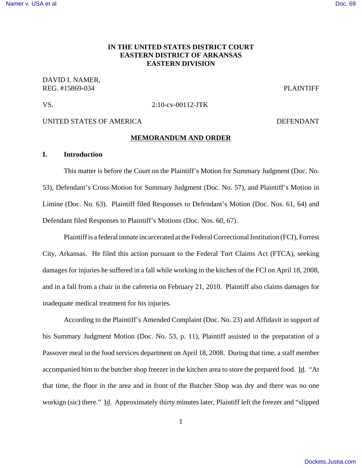## [Namer v. USA et al](http://dockets.justia.com/docket/arkansas/aredce/2:2010cv00112/83080/) [Doc. 69](http://docs.justia.com/cases/federal/district-courts/arkansas/aredce/2:2010cv00112/83080/69/)

# **IN THE UNITED STATES DISTRICT COURT EASTERN DISTRICT OF ARKANSAS EASTERN DIVISION**

DAVID I. NAMER, REG. #15869-034 PLAINTIFF

## VS. 2:10-cv-00112-JTK

# UNITED STATES OF AMERICA DEFENDANT

## **MEMORANDUM AND ORDER**

# **I. Introduction**

This matter is before the Court on the Plaintiff's Motion for Summary Judgment (Doc. No. 53), Defendant's Cross-Motion for Summary Judgment (Doc. No. 57), and Plaintiff's Motion in Limine (Doc. No. 63). Plaintiff filed Responses to Defendant's Motion (Doc. Nos. 61, 64) and Defendant filed Responses to Plaintiff's Motions (Doc. Nos. 60, 67).

Plaintiff is a federal inmate incarcerated at the Federal Correctional Institution (FCI), Forrest City, Arkansas. He filed this action pursuant to the Federal Tort Claims Act (FTCA), seeking damages for injuries he suffered in a fall while working in the kitchen of the FCI on April 18, 2008, and in a fall from a chair in the cafeteria on February 21, 2010. Plaintiff also claims damages for inadequate medical treatment for his injuries.

According to the Plaintiff's Amended Complaint (Doc. No. 23) and Affidavit in support of his Summary Judgment Motion (Doc. No. 53, p. 11), Plaintiff assisted in the preparation of a Passover meal in the food services department on April 18, 2008. During that time, a staff member accompanied him to the butcher shop freezer in the kitchen area to store the prepared food. Id. "At that time, the floor in the area and in front of the Butcher Shop was dry and there was no one workign (sic) there." Id. Approximately thirty minutes later, Plaintiff left the freezer and "slipped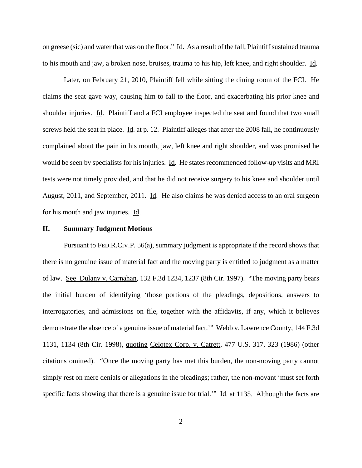on greese (sic) and water that was on the floor." Id. As a result of the fall, Plaintiff sustained trauma to his mouth and jaw, a broken nose, bruises, trauma to his hip, left knee, and right shoulder. Id.

Later, on February 21, 2010, Plaintiff fell while sitting the dining room of the FCI. He claims the seat gave way, causing him to fall to the floor, and exacerbating his prior knee and shoulder injuries. Id. Plaintiff and a FCI employee inspected the seat and found that two small screws held the seat in place. Id. at p. 12. Plaintiff alleges that after the 2008 fall, he continuously complained about the pain in his mouth, jaw, left knee and right shoulder, and was promised he would be seen by specialists for his injuries. Id. He states recommended follow-up visits and MRI tests were not timely provided, and that he did not receive surgery to his knee and shoulder until August, 2011, and September, 2011. Id. He also claims he was denied access to an oral surgeon for his mouth and jaw injuries. Id.

# **II. Summary Judgment Motions**

Pursuant to FED.R.CIV.P. 56(a), summary judgment is appropriate if the record shows that there is no genuine issue of material fact and the moving party is entitled to judgment as a matter of law. See Dulany v. Carnahan, 132 F.3d 1234, 1237 (8th Cir. 1997). "The moving party bears the initial burden of identifying 'those portions of the pleadings, depositions, answers to interrogatories, and admissions on file, together with the affidavits, if any, which it believes demonstrate the absence of a genuine issue of material fact." Webb v. Lawrence County, 144 F.3d 1131, 1134 (8th Cir. 1998), quoting Celotex Corp. v. Catrett, 477 U.S. 317, 323 (1986) (other citations omitted). "Once the moving party has met this burden, the non-moving party cannot simply rest on mere denials or allegations in the pleadings; rather, the non-movant 'must set forth specific facts showing that there is a genuine issue for trial." Id. at 1135. Although the facts are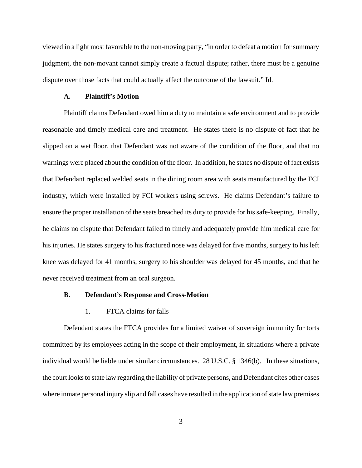viewed in a light most favorable to the non-moving party, "in order to defeat a motion for summary judgment, the non-movant cannot simply create a factual dispute; rather, there must be a genuine dispute over those facts that could actually affect the outcome of the lawsuit." Id.

### **A. Plaintiff's Motion**

Plaintiff claims Defendant owed him a duty to maintain a safe environment and to provide reasonable and timely medical care and treatment. He states there is no dispute of fact that he slipped on a wet floor, that Defendant was not aware of the condition of the floor, and that no warnings were placed about the condition of the floor. In addition, he states no dispute of fact exists that Defendant replaced welded seats in the dining room area with seats manufactured by the FCI industry, which were installed by FCI workers using screws. He claims Defendant's failure to ensure the proper installation of the seats breached its duty to provide for his safe-keeping. Finally, he claims no dispute that Defendant failed to timely and adequately provide him medical care for his injuries. He states surgery to his fractured nose was delayed for five months, surgery to his left knee was delayed for 41 months, surgery to his shoulder was delayed for 45 months, and that he never received treatment from an oral surgeon.

### **B. Defendant's Response and Cross-Motion**

## 1. FTCA claims for falls

Defendant states the FTCA provides for a limited waiver of sovereign immunity for torts committed by its employees acting in the scope of their employment, in situations where a private individual would be liable under similar circumstances. 28 U.S.C. § 1346(b). In these situations, the court looks to state law regarding the liability of private persons, and Defendant cites other cases where inmate personal injury slip and fall cases have resulted in the application of state law premises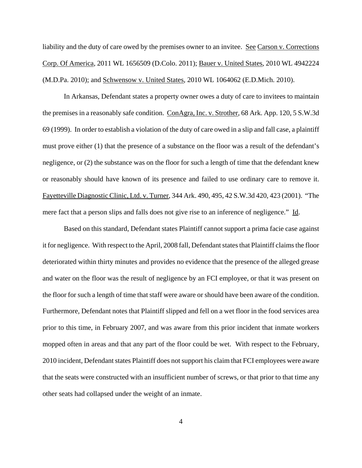liability and the duty of care owed by the premises owner to an invitee. See Carson v. Corrections Corp. Of America, 2011 WL 1656509 (D.Colo. 2011); Bauer v. United States, 2010 WL 4942224 (M.D.Pa. 2010); and Schwensow v. United States, 2010 WL 1064062 (E.D.Mich. 2010).

In Arkansas, Defendant states a property owner owes a duty of care to invitees to maintain the premises in a reasonably safe condition. ConAgra, Inc. v. Strother, 68 Ark. App. 120, 5 S.W.3d 69 (1999). In order to establish a violation of the duty of care owed in a slip and fall case, a plaintiff must prove either (1) that the presence of a substance on the floor was a result of the defendant's negligence, or (2) the substance was on the floor for such a length of time that the defendant knew or reasonably should have known of its presence and failed to use ordinary care to remove it. Fayetteville Diagnostic Clinic, Ltd. v. Turner, 344 Ark. 490, 495, 42 S.W.3d 420, 423 (2001). "The mere fact that a person slips and falls does not give rise to an inference of negligence." Id.

Based on this standard, Defendant states Plaintiff cannot support a prima facie case against it for negligence. With respect to the April, 2008 fall, Defendant states that Plaintiff claims the floor deteriorated within thirty minutes and provides no evidence that the presence of the alleged grease and water on the floor was the result of negligence by an FCI employee, or that it was present on the floor for such a length of time that staff were aware or should have been aware of the condition. Furthermore, Defendant notes that Plaintiff slipped and fell on a wet floor in the food services area prior to this time, in February 2007, and was aware from this prior incident that inmate workers mopped often in areas and that any part of the floor could be wet. With respect to the February, 2010 incident, Defendant states Plaintiff does not support his claim that FCI employees were aware that the seats were constructed with an insufficient number of screws, or that prior to that time any other seats had collapsed under the weight of an inmate.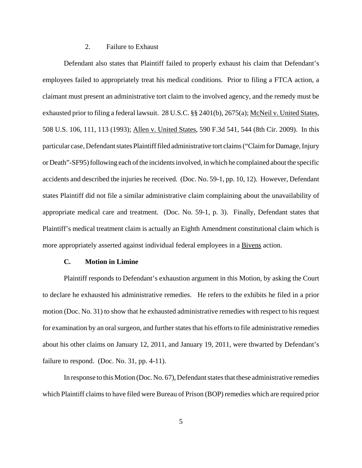# 2. Failure to Exhaust

Defendant also states that Plaintiff failed to properly exhaust his claim that Defendant's employees failed to appropriately treat his medical conditions. Prior to filing a FTCA action, a claimant must present an administrative tort claim to the involved agency, and the remedy must be exhausted prior to filing a federal lawsuit. 28 U.S.C. §§ 2401(b), 2675(a); McNeil v. United States, 508 U.S. 106, 111, 113 (1993); Allen v. United States, 590 F.3d 541, 544 (8th Cir. 2009). In this particular case, Defendant states Plaintiff filed administrative tort claims ("Claim for Damage, Injury or Death"-SF95) following each of the incidents involved, in which he complained about the specific accidents and described the injuries he received. (Doc. No. 59-1, pp. 10, 12). However, Defendant states Plaintiff did not file a similar administrative claim complaining about the unavailability of appropriate medical care and treatment. (Doc. No. 59-1, p. 3). Finally, Defendant states that Plaintiff's medical treatment claim is actually an Eighth Amendment constitutional claim which is more appropriately asserted against individual federal employees in a Bivens action.

# **C. Motion in Limine**

Plaintiff responds to Defendant's exhaustion argument in this Motion, by asking the Court to declare he exhausted his administrative remedies. He refers to the exhibits he filed in a prior motion (Doc. No. 31) to show that he exhausted administrative remedies with respect to his request for examination by an oral surgeon, and further states that his efforts to file administrative remedies about his other claims on January 12, 2011, and January 19, 2011, were thwarted by Defendant's failure to respond. (Doc. No. 31, pp. 4-11).

In response to this Motion (Doc. No. 67), Defendant states that these administrative remedies which Plaintiff claims to have filed were Bureau of Prison (BOP) remedies which are required prior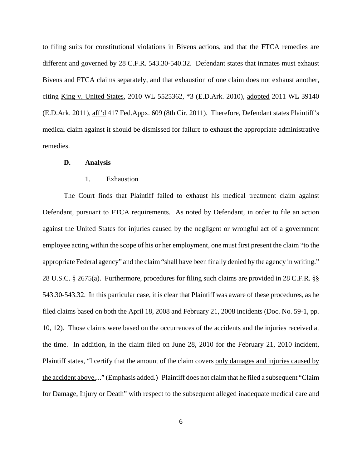to filing suits for constitutional violations in Bivens actions, and that the FTCA remedies are different and governed by 28 C.F.R. 543.30-540.32. Defendant states that inmates must exhaust Bivens and FTCA claims separately, and that exhaustion of one claim does not exhaust another, citing King v. United States, 2010 WL 5525362, \*3 (E.D.Ark. 2010), adopted 2011 WL 39140 (E.D.Ark. 2011), aff'd 417 Fed.Appx. 609 (8th Cir. 2011). Therefore, Defendant states Plaintiff's medical claim against it should be dismissed for failure to exhaust the appropriate administrative remedies.

### **D. Analysis**

## 1. Exhaustion

The Court finds that Plaintiff failed to exhaust his medical treatment claim against Defendant, pursuant to FTCA requirements. As noted by Defendant, in order to file an action against the United States for injuries caused by the negligent or wrongful act of a government employee acting within the scope of his or her employment, one must first present the claim "to the appropriate Federal agency" and the claim "shall have been finally denied by the agency in writing." 28 U.S.C. § 2675(a). Furthermore, procedures for filing such claims are provided in 28 C.F.R. §§ 543.30-543.32. In this particular case, it is clear that Plaintiff was aware of these procedures, as he filed claims based on both the April 18, 2008 and February 21, 2008 incidents (Doc. No. 59-1, pp. 10, 12). Those claims were based on the occurrences of the accidents and the injuries received at the time. In addition, in the claim filed on June 28, 2010 for the February 21, 2010 incident, Plaintiff states, "I certify that the amount of the claim covers only damages and injuries caused by the accident above...." (Emphasis added.) Plaintiff does not claim that he filed a subsequent "Claim for Damage, Injury or Death" with respect to the subsequent alleged inadequate medical care and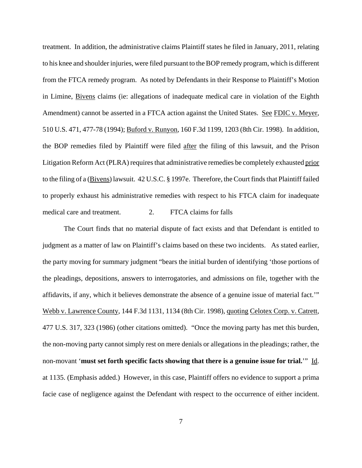treatment. In addition, the administrative claims Plaintiff states he filed in January, 2011, relating to his knee and shoulder injuries, were filed pursuant to the BOP remedy program, which is different from the FTCA remedy program. As noted by Defendants in their Response to Plaintiff's Motion in Limine, Bivens claims (ie: allegations of inadequate medical care in violation of the Eighth Amendment) cannot be asserted in a FTCA action against the United States. See FDIC v. Meyer, 510 U.S. 471, 477-78 (1994); Buford v. Runyon, 160 F.3d 1199, 1203 (8th Cir. 1998). In addition, the BOP remedies filed by Plaintiff were filed after the filing of this lawsuit, and the Prison Litigation Reform Act (PLRA) requires that administrative remedies be completely exhausted prior to the filing of a (Bivens) lawsuit. 42 U.S.C. § 1997e. Therefore, the Court finds that Plaintiff failed to properly exhaust his administrative remedies with respect to his FTCA claim for inadequate medical care and treatment. 2. FTCA claims for falls

The Court finds that no material dispute of fact exists and that Defendant is entitled to judgment as a matter of law on Plaintiff's claims based on these two incidents. As stated earlier, the party moving for summary judgment "bears the initial burden of identifying 'those portions of the pleadings, depositions, answers to interrogatories, and admissions on file, together with the affidavits, if any, which it believes demonstrate the absence of a genuine issue of material fact.'" Webb v. Lawrence County, 144 F.3d 1131, 1134 (8th Cir. 1998), quoting Celotex Corp. v. Catrett, 477 U.S. 317, 323 (1986) (other citations omitted). "Once the moving party has met this burden, the non-moving party cannot simply rest on mere denials or allegations in the pleadings; rather, the non-movant '**must set forth specific facts showing that there is a genuine issue for trial.**'" Id. at 1135. (Emphasis added.) However, in this case, Plaintiff offers no evidence to support a prima facie case of negligence against the Defendant with respect to the occurrence of either incident.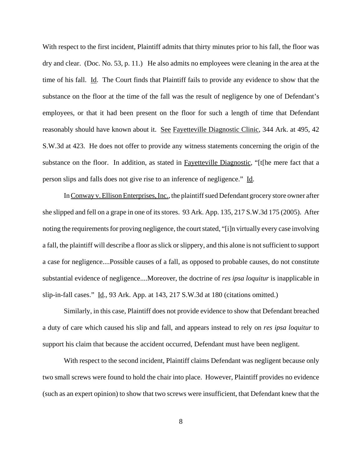With respect to the first incident, Plaintiff admits that thirty minutes prior to his fall, the floor was dry and clear. (Doc. No. 53, p. 11.) He also admits no employees were cleaning in the area at the time of his fall. Id. The Court finds that Plaintiff fails to provide any evidence to show that the substance on the floor at the time of the fall was the result of negligence by one of Defendant's employees, or that it had been present on the floor for such a length of time that Defendant reasonably should have known about it. See Fayetteville Diagnostic Clinic, 344 Ark. at 495, 42 S.W.3d at 423. He does not offer to provide any witness statements concerning the origin of the substance on the floor. In addition, as stated in Fayetteville Diagnostic, "[t[he mere fact that a person slips and falls does not give rise to an inference of negligence." Id.

In Conway v. Ellison Enterprises, Inc., the plaintiff sued Defendant grocery store owner after she slipped and fell on a grape in one of its stores. 93 Ark. App. 135, 217 S.W.3d 175 (2005). After noting the requirements for proving negligence, the court stated, "[i]n virtually every case involving a fall, the plaintiff will describe a floor as slick or slippery, and this alone is not sufficient to support a case for negligence....Possible causes of a fall, as opposed to probable causes, do not constitute substantial evidence of negligence....Moreover, the doctrine of *res ipsa loquitur* is inapplicable in slip-in-fall cases." Id., 93 Ark. App. at 143, 217 S.W.3d at 180 (citations omitted.)

Similarly, in this case, Plaintiff does not provide evidence to show that Defendant breached a duty of care which caused his slip and fall, and appears instead to rely on *res ipsa loquitur* to support his claim that because the accident occurred, Defendant must have been negligent.

With respect to the second incident, Plaintiff claims Defendant was negligent because only two small screws were found to hold the chair into place. However, Plaintiff provides no evidence (such as an expert opinion) to show that two screws were insufficient, that Defendant knew that the